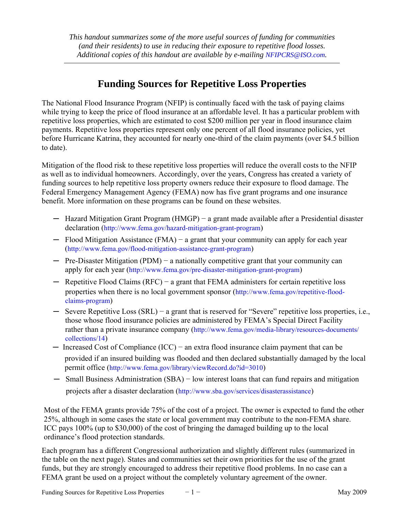*This handout summarizes some of the more useful sources of funding for communities (and their residents) to use in reducing their exposure to repetitive flood losses. Additional copies of this handout are available by e-mailing [NFIPCRS@ISO.com.](mailto:NFIPCRS@ISO.com)* 

## **Funding Sources for Repetitive Loss Properties**

The National Flood Insurance Program (NFIP) is continually faced with the task of paying claims while trying to keep the price of flood insurance at an affordable level. It has a particular problem with repetitive loss properties, which are estimated to cost \$200 million per year in flood insurance claim payments. Repetitive loss properties represent only one percent of all flood insurance policies, yet before Hurricane Katrina, they accounted for nearly one-third of the claim payments (over \$4.5 billion to date).

Mitigation of the flood risk to these repetitive loss properties will reduce the overall costs to the NFIP as well as to individual homeowners. Accordingly, over the years, Congress has created a variety of funding sources to help repetitive loss property owners reduce their exposure to flood damage. The Federal Emergency Management Agency (FEMA) now has five grant programs and one insurance benefit. More information on these programs can be found on these websites.

- ─ Hazard Mitigation Grant Program (HMGP) − a grant made available after a Presidential disaster declaration ([http://www.fema.gov/](http://www.fema.gov/government/grant/hmgp/index.shtm)hazard-mitigation-grant-program)
- ─ Flood Mitigation Assistance (FMA) − a grant that your community can apply for each year (http://www.fema.gov/[flood-mitigation-assistance-grant-p](http://www.fema.gov/government/grant/fma/index.shtm)rogram)
- ─ Pre-Disaster Mitigation (PDM) − a nationally competitive grant that your community can apply for each year (http://www.fema.gov/[pre-disaster-mitigation-grant-progra](http://www.fema.gov/government/grant/pdm/index.shtm)m)
- ─ Repetitive Flood Claims (RFC) − a grant that FEMA administers for certain repetitive loss properties when there is no local government sponsor (http://www.fema.gov/repetitive-flood[claims-program](http://www.fema.gov/government/grant/rfc/index.shtm))
- ─ Severe Repetitive Loss (SRL) − a grant that is reserved for "Severe" repetitive loss properties, i.e., those whose flood insurance policies are administered by FEMA's Special Direct Facility rather than a private insurance company (http://www.fema.gov/[media-library/resources-do](http://www.fema.gov/government/grant/srl/index.shtm)cuments/ collections/14)
- ─ Increased Cost of Compliance (ICC) − an extra flood insurance claim payment that can be provided if an [insured building was flooded and then declared sub](http://www.fema.gov/library/viewRecord.do?id=3010)stantially damaged by the local permit office (http://www.fema.gov/library/viewRecord.do?id=3010)
- ─ Small Business Administration (SBA) − [low interest loans that can fund](http://www.sba.gov/services/disasterassistance) repairs and mitigation projects after a disaster declaration (http://www.sba.gov/services/disasterassistance)

Most of the FEMA grants provide 75% of the cost of a project. The owner is expected to fund the other 25%, although in some cases the state or local government may contribute to the non-FEMA share. ICC pays 100% (up to \$30,000) of the cost of bringing the damaged building up to the local ordinance's flood protection standards.

Each program has a different Congressional authorization and slightly different rules (summarized in the table on the next page). States and communities set their own priorities for the use of the grant funds, but they are strongly encouraged to address their repetitive flood problems. In no case can a FEMA grant be used on a project without the completely voluntary agreement of the owner.